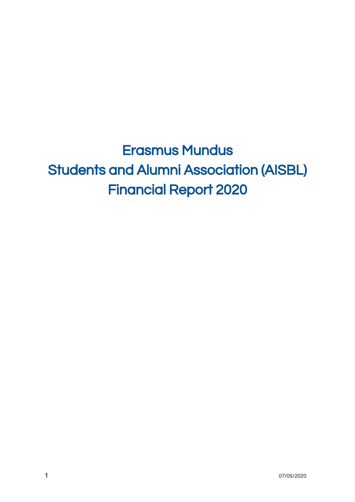Erasmus Mundus Students and Alumni Association (AISBL) Financial Report 2020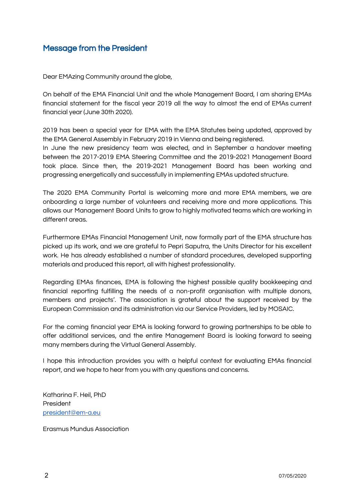## <span id="page-1-0"></span>Message from the President

Dear EMAzing Community around the globe,

On behalf of the EMA Financial Unit and the whole Management Board, I am sharing EMAs financial statement for the fiscal year 2019 all the way to almost the end of EMAs current financial year (June 30th 2020).

2019 has been a special year for EMA with the EMA Statutes being updated, approved by the EMA General Assembly in February 2019 in Vienna and being registered. In June the new presidency team was elected, and in September a handover meeting between the 2017-2019 EMA Steering Committee and the 2019-2021 Management Board took place. Since then, the 2019-2021 Management Board has been working and progressing energetically and successfully in implementing EMAs updated structure.

The 2020 EMA Community Portal is welcoming more and more EMA members, we are onboarding a large number of volunteers and receiving more and more applications. This allows our Management Board Units to grow to highly motivated teams which are working in different areas.

Furthermore EMAs Financial Management Unit, now formally part of the EMA structure has picked up its work, and we are grateful to Pepri Saputra, the Units Director for his excellent work. He has already established a number of standard procedures, developed supporting materials and produced this report, all with highest professionality.

Regarding EMAs finances, EMA is following the highest possible quality bookkeeping and financial reporting fulfilling the needs of a non-profit organisation with multiple donors, members and projects'. The association is grateful about the support received by the European Commission and its administration via our Service Providers, led by MOSAIC.

For the coming financial year EMA is looking forward to growing partnerships to be able to offer additional services, and the entire Management Board is looking forward to seeing many members during the Virtual General Assembly.

I hope this introduction provides you with a helpful context for evaluating EMAs financial report, and we hope to hear from you with any questions and concerns.

Katharina F. Heil, PhD President [president@em-a.eu](mailto:president@em-a.eu)

Erasmus Mundus Association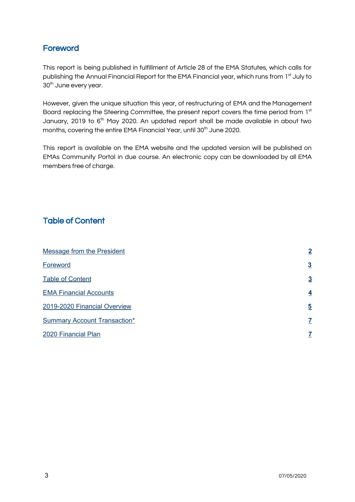# <span id="page-2-0"></span>**Foreword**

This report is being published in fulfillment of Article 28 of the EMA Statutes, which calls for publishing the Annual Financial Report for the EMA Financial year, which runs from 1st July to 30<sup>th</sup> June every year.

However, given the unique situation this year, of restructuring of EMA and the Management Board replacing the Steering Committee, the present report covers the time period from 1st January, 2019 to 6<sup>th</sup> May 2020. An updated report shall be made available in about two months, covering the entire EMA Financial Year, until 30<sup>th</sup> June 2020.

This report is available on the EMA website and the updated version will be published on EMAs Community Portal in due course. An electronic copy can be downloaded by all EMA members free of charge.

# <span id="page-2-1"></span>Table of Content

| <b>Message from the President</b>   | $\overline{2}$          |
|-------------------------------------|-------------------------|
| Foreword                            | $\overline{3}$          |
| <b>Table of Content</b>             | $\overline{3}$          |
| <b>EMA Financial Accounts</b>       | $\overline{4}$          |
| 2019-2020 Financial Overview        | $\overline{\mathbf{5}}$ |
| <b>Summary Account Transaction*</b> |                         |
| 2020 Financial Plan                 |                         |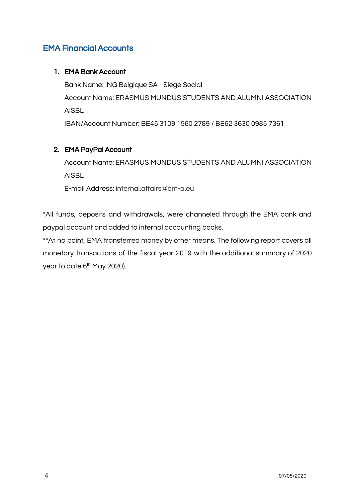## <span id="page-3-0"></span>EMA Financial Accounts

### 1. EMA Bank Account

Bank Name: ING Belgique SA - Siège Social Account Name: ERASMUS MUNDUS STUDENTS AND ALUMNI ASSOCIATION AISBL

IBAN/Account Number: BE45 3109 1560 2789 / BE62 3630 0985 7361

### 2. EMA PayPal Account

Account Name: ERASMUS MUNDUS STUDENTS AND ALUMNI ASSOCIATION AISBL

E-mail Address: internal.affairs@em-a.eu

\*All funds, deposits and withdrawals, were channeled through the EMA bank and paypal account and added to internal accounting books.

\*\*At no point, EMA transferred money by other means. The following report covers all monetary transactions of the fiscal year 2019 with the additional summary of 2020 year to date 6<sup>th</sup> May 2020).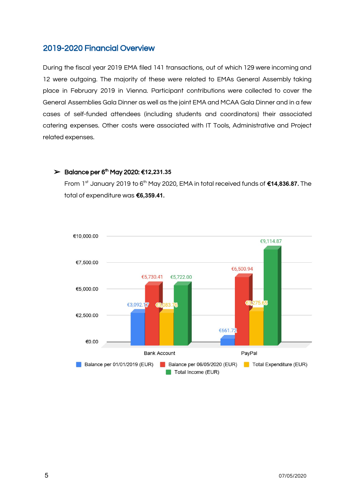## <span id="page-4-0"></span>2019-2020 Financial Overview

During the fiscal year 2019 EMA filed 141 transactions, out of which 129 were incoming and 12 were outgoing. The majority of these were related to EMAs General Assembly taking place in February 2019 in Vienna. Participant contributions were collected to cover the General Assemblies Gala Dinner as well as the joint EMA and MCAA Gala Dinner and in a few cases of self-funded attendees (including students and coordinators) their associated catering expenses. Other costs were associated with IT Tools, Administrative and Project related expenses.

#### ➢ Balance per 6 th May 2020: €**12,231.35**

From 1<sup>st</sup> January 2019 to 6<sup>th</sup> May 2020, EMA in total received funds of **€14,836.87.** The total of expenditure was €**6,359.41.**

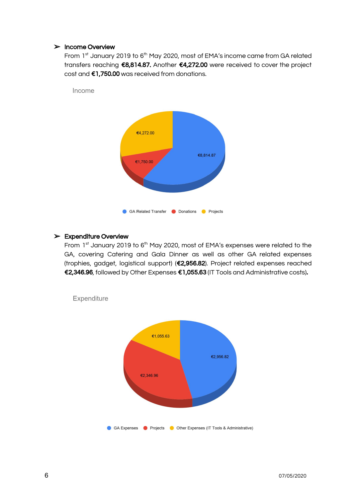#### ➢ Income Overview

Income

From 1<sup>st</sup> January 2019 to 6<sup>th</sup> May 2020, most of EMA's income came from GA related transfers reaching €8,814.87. Another €4,272.00 were received to cover the project cost and €1,750.00 was received from donations.



#### $\triangleright$  Expenditure Overview

From 1<sup>st</sup> January 2019 to 6<sup>th</sup> May 2020, most of EMA's expenses were related to the GA, covering Catering and Gala Dinner as well as other GA related expenses (trophies, gadget, logistical support) (€2,956.82). Project related expenses reached €2,346.96, followed by Other Expenses €1,055.63 (IT Tools and Administrative costs).



Expenditure